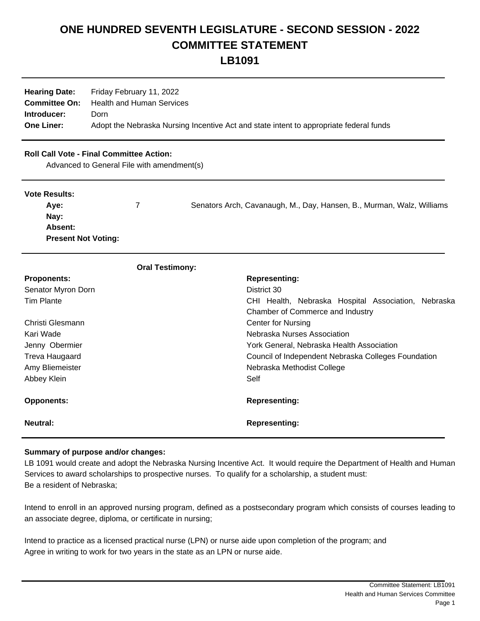## **ONE HUNDRED SEVENTH LEGISLATURE - SECOND SESSION - 2022 COMMITTEE STATEMENT LB1091**

**Hearing Date:** Friday February 11, 2022

| <b>Hearing Date:</b> Friday February 11, 2022                                          |
|----------------------------------------------------------------------------------------|
| <b>Committee On:</b> Health and Human Services                                         |
| Dorn                                                                                   |
| Adopt the Nebraska Nursing Incentive Act and state intent to appropriate federal funds |
|                                                                                        |

## **Roll Call Vote - Final Committee Action:**

Advanced to General File with amendment(s)

| <b>Vote Results:</b>       | 7 | Senators Arch, Cavanaugh, M., Day, Hansen, B., Murman, Walz, Williams |
|----------------------------|---|-----------------------------------------------------------------------|
| Ave:                       |   |                                                                       |
| Nay:                       |   |                                                                       |
| <b>Absent:</b>             |   |                                                                       |
| <b>Present Not Voting:</b> |   |                                                                       |

| <b>Oral Testimony:</b> |                                                     |  |
|------------------------|-----------------------------------------------------|--|
| <b>Proponents:</b>     | <b>Representing:</b>                                |  |
| Senator Myron Dorn     | District 30                                         |  |
| Tim Plante             | CHI Health, Nebraska Hospital Association, Nebraska |  |
|                        | Chamber of Commerce and Industry                    |  |
| Christi Glesmann       | <b>Center for Nursing</b>                           |  |
| Kari Wade              | Nebraska Nurses Association                         |  |
| Jenny Obermier         | York General, Nebraska Health Association.          |  |
| Treva Haugaard         | Council of Independent Nebraska Colleges Foundation |  |
| Amy Bliemeister        | Nebraska Methodist College                          |  |
| Abbey Klein            | Self                                                |  |
| <b>Opponents:</b>      | <b>Representing:</b>                                |  |
| Neutral:               | <b>Representing:</b>                                |  |

## **Summary of purpose and/or changes:**

LB 1091 would create and adopt the Nebraska Nursing Incentive Act. It would require the Department of Health and Human Services to award scholarships to prospective nurses. To qualify for a scholarship, a student must: Be a resident of Nebraska;

Intend to enroll in an approved nursing program, defined as a postsecondary program which consists of courses leading to an associate degree, diploma, or certificate in nursing;

Intend to practice as a licensed practical nurse (LPN) or nurse aide upon completion of the program; and Agree in writing to work for two years in the state as an LPN or nurse aide.